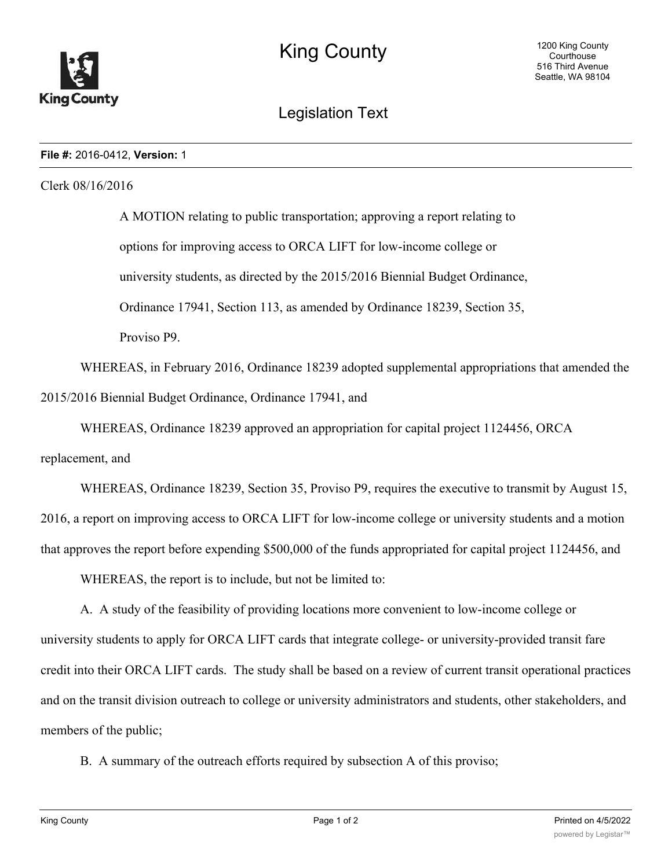

Legislation Text

## **File #:** 2016-0412, **Version:** 1

## Clerk 08/16/2016

A MOTION relating to public transportation; approving a report relating to options for improving access to ORCA LIFT for low-income college or university students, as directed by the 2015/2016 Biennial Budget Ordinance, Ordinance 17941, Section 113, as amended by Ordinance 18239, Section 35, Proviso P9.

WHEREAS, in February 2016, Ordinance 18239 adopted supplemental appropriations that amended the 2015/2016 Biennial Budget Ordinance, Ordinance 17941, and

WHEREAS, Ordinance 18239 approved an appropriation for capital project 1124456, ORCA

replacement, and

WHEREAS, Ordinance 18239, Section 35, Proviso P9, requires the executive to transmit by August 15, 2016, a report on improving access to ORCA LIFT for low-income college or university students and a motion that approves the report before expending \$500,000 of the funds appropriated for capital project 1124456, and

WHEREAS, the report is to include, but not be limited to:

A. A study of the feasibility of providing locations more convenient to low-income college or university students to apply for ORCA LIFT cards that integrate college- or university-provided transit fare credit into their ORCA LIFT cards. The study shall be based on a review of current transit operational practices and on the transit division outreach to college or university administrators and students, other stakeholders, and members of the public;

B. A summary of the outreach efforts required by subsection A of this proviso;